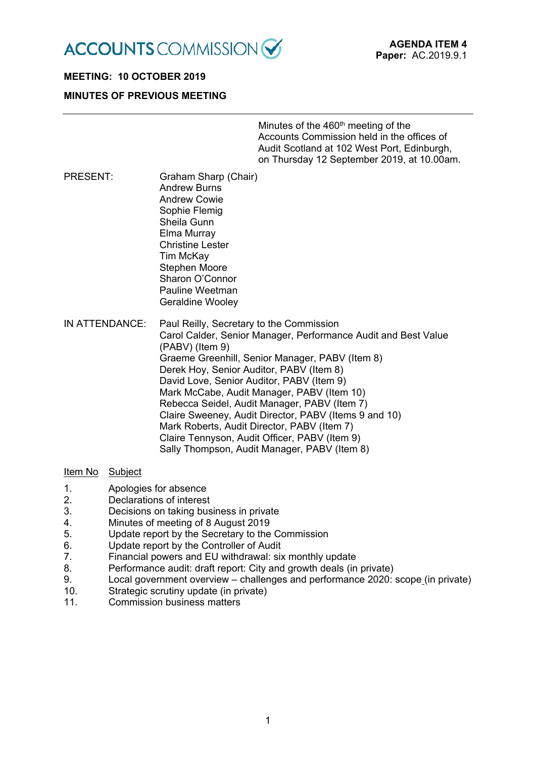

# **MEETING: 10 OCTOBER 2019 MINUTES OF PREVIOUS MEETING**

Minutes of the  $460<sup>th</sup>$  meeting of the Accounts Commission held in the offices of Audit Scotland at 102 West Port, Edinburgh, on Thursday 12 September 2019, at 10.00am.

- PRESENT: Graham Sharp (Chair) Andrew Burns Andrew Cowie Sophie Flemig Sheila Gunn Elma Murray Christine Lester Tim McKay Stephen Moore Sharon O'Connor Pauline Weetman Geraldine Wooley
- IN ATTENDANCE: Paul Reilly, Secretary to the Commission Carol Calder, Senior Manager, Performance Audit and Best Value (PABV) (Item 9) Graeme Greenhill, Senior Manager, PABV (Item 8) Derek Hoy, Senior Auditor, PABV (Item 8) David Love, Senior Auditor, PABV (Item 9) Mark McCabe, Audit Manager, PABV (Item 10) Rebecca Seidel, Audit Manager, PABV (Item 7) Claire Sweeney, Audit Director, PABV (Items 9 and 10) Mark Roberts, Audit Director, PABV (Item 7) Claire Tennyson, Audit Officer, PABV (Item 9) Sally Thompson, Audit Manager, PABV (Item 8)

#### Item No Subject

- 1. Apologies for absence
- 2. Declarations of interest
- 3. Decisions on taking business in private
- 4. Minutes of meeting of 8 August 2019
- 5. Update report by the Secretary to the Commission
- 6. Update report by the Controller of Audit
- 7. Financial powers and EU withdrawal: six monthly update
- 8. Performance audit: draft report: City and growth deals (in private)
- 9. Local government overview challenges and performance 2020: scope (in private)
- 10. Strategic scrutiny update (in private)
- 11. Commission business matters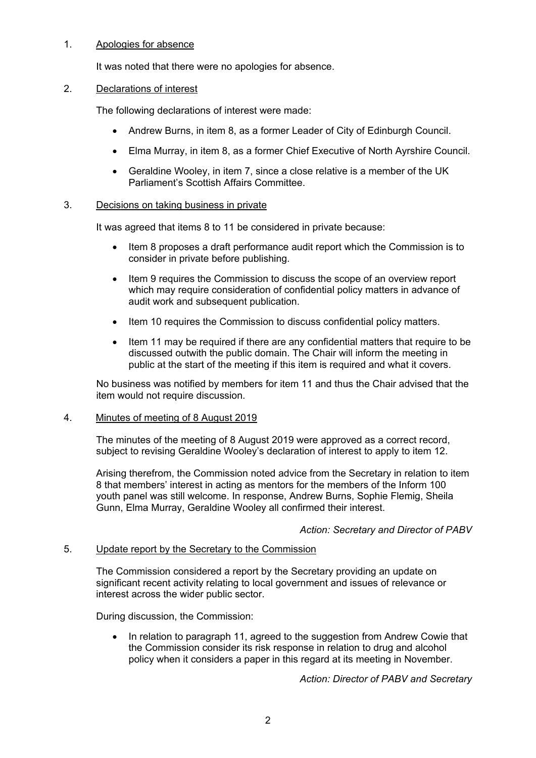# 1. Apologies for absence

It was noted that there were no apologies for absence.

## 2. Declarations of interest

The following declarations of interest were made:

- Andrew Burns, in item 8, as a former Leader of City of Edinburgh Council.
- Elma Murray, in item 8, as a former Chief Executive of North Ayrshire Council.
- Geraldine Wooley, in item 7, since a close relative is a member of the UK Parliament's Scottish Affairs Committee.

## 3. Decisions on taking business in private

It was agreed that items 8 to 11 be considered in private because:

- Item 8 proposes a draft performance audit report which the Commission is to consider in private before publishing.
- Item 9 requires the Commission to discuss the scope of an overview report which may require consideration of confidential policy matters in advance of audit work and subsequent publication.
- Item 10 requires the Commission to discuss confidential policy matters.
- Item 11 may be required if there are any confidential matters that require to be discussed outwith the public domain. The Chair will inform the meeting in public at the start of the meeting if this item is required and what it covers.

No business was notified by members for item 11 and thus the Chair advised that the item would not require discussion.

#### 4. Minutes of meeting of 8 August 2019

The minutes of the meeting of 8 August 2019 were approved as a correct record, subject to revising Geraldine Wooley's declaration of interest to apply to item 12.

Arising therefrom, the Commission noted advice from the Secretary in relation to item 8 that members' interest in acting as mentors for the members of the Inform 100 youth panel was still welcome. In response, Andrew Burns, Sophie Flemig, Sheila Gunn, Elma Murray, Geraldine Wooley all confirmed their interest.

#### *Action: Secretary and Director of PABV*

## 5. Update report by the Secretary to the Commission

The Commission considered a report by the Secretary providing an update on significant recent activity relating to local government and issues of relevance or interest across the wider public sector.

During discussion, the Commission:

• In relation to paragraph 11, agreed to the suggestion from Andrew Cowie that the Commission consider its risk response in relation to drug and alcohol policy when it considers a paper in this regard at its meeting in November.

*Action: Director of PABV and Secretary*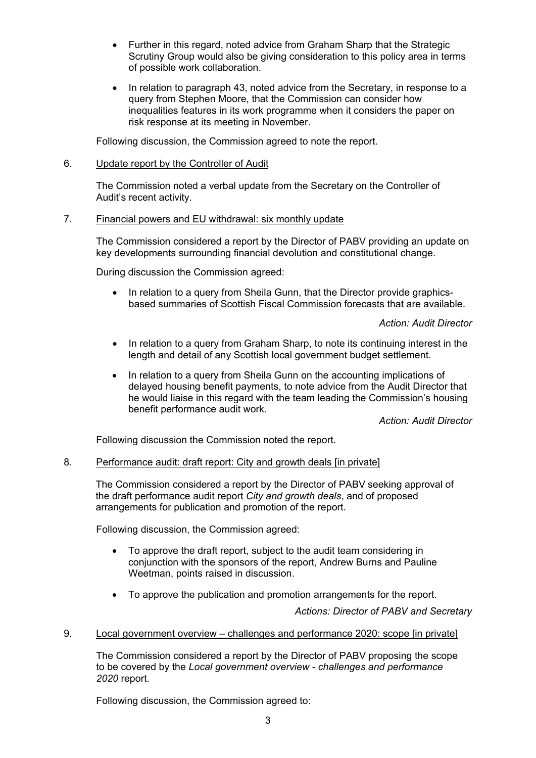- Further in this regard, noted advice from Graham Sharp that the Strategic Scrutiny Group would also be giving consideration to this policy area in terms of possible work collaboration.
- In relation to paragraph 43, noted advice from the Secretary, in response to a query from Stephen Moore, that the Commission can consider how inequalities features in its work programme when it considers the paper on risk response at its meeting in November.

Following discussion, the Commission agreed to note the report.

# 6. Update report by the Controller of Audit

The Commission noted a verbal update from the Secretary on the Controller of Audit's recent activity.

# 7. Financial powers and EU withdrawal: six monthly update

The Commission considered a report by the Director of PABV providing an update on key developments surrounding financial devolution and constitutional change.

During discussion the Commission agreed:

• In relation to a query from Sheila Gunn, that the Director provide graphicsbased summaries of Scottish Fiscal Commission forecasts that are available.

*Action: Audit Director*

- In relation to a query from Graham Sharp, to note its continuing interest in the length and detail of any Scottish local government budget settlement.
- In relation to a query from Sheila Gunn on the accounting implications of delayed housing benefit payments, to note advice from the Audit Director that he would liaise in this regard with the team leading the Commission's housing benefit performance audit work.

*Action: Audit Director*

Following discussion the Commission noted the report.

# 8. Performance audit: draft report: City and growth deals [in private]

The Commission considered a report by the Director of PABV seeking approval of the draft performance audit report *City and growth deals*, and of proposed arrangements for publication and promotion of the report.

Following discussion, the Commission agreed:

- To approve the draft report, subject to the audit team considering in conjunction with the sponsors of the report, Andrew Burns and Pauline Weetman, points raised in discussion.
- To approve the publication and promotion arrangements for the report.

*Actions: Director of PABV and Secretary*

9. Local government overview – challenges and performance 2020: scope [in private]

The Commission considered a report by the Director of PABV proposing the scope to be covered by the *Local government overview - challenges and performance 2020* report.

Following discussion, the Commission agreed to: